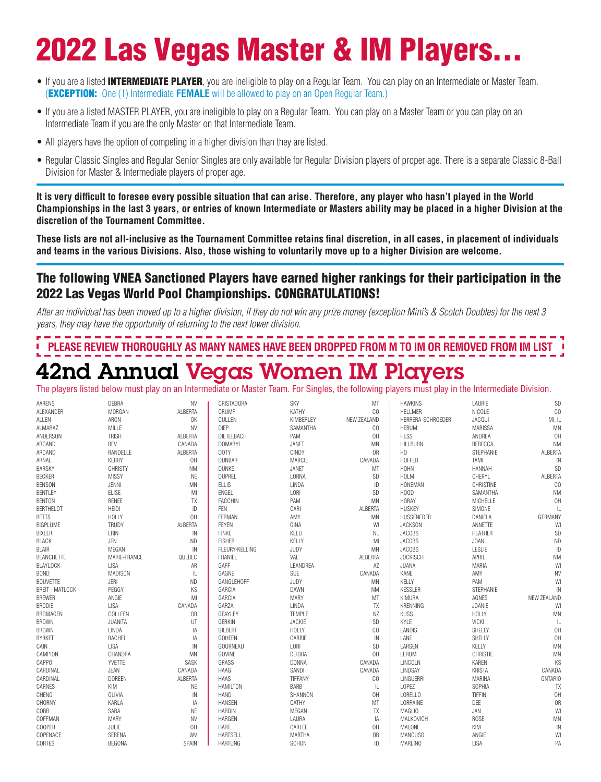# 2022 Las Vegas Master & IM Players...

- If you are a listed **INTERMEDIATE PLAYER**, you are ineligible to play on a Regular Team. You can play on an Intermediate or Master Team. (EXCEPTION: One (1) Intermediate **FEMALE** will be allowed to play on an Open Regular Team.)
- If you are a listed MASTER PLAYER, you are ineligible to play on a Regular Team. You can play on a Master Team or you can play on an Intermediate Team if you are the only Master on that Intermediate Team.
- All players have the option of competing in a higher division than they are listed.
- Regular Classic Singles and Regular Senior Singles are only available for Regular Division players of proper age. There is a separate Classic 8-Ball Division for Master & Intermediate players of proper age.

**It is very difficult to foresee every possible situation that can arise. Therefore, any player who hasn't played in the World Championships in the last 3 years, or entries of known Intermediate or Masters ability may be placed in a higher Division at the discretion of the Tournament Committee.**

**These lists are not all-inclusive as the Tournament Committee retains final discretion, in all cases, in placement of individuals and teams in the various Divisions. Also, those wishing to voluntarily move up to a higher Division are welcome.**

#### The following VNEA Sanctioned Players have earned higher rankings for their participation in the 2022 Las Vegas World Pool Championships. CONGRATULATIONS!

*After an individual has been moved up to a higher division, if they do not win any prize money (exception Mini's & Scotch Doubles) for the next 3 years, they may have the opportunity of returning to the next lower division.*

### **PLEASE REVIEW THOROUGHLY AS MANY NAMES HAVE BEEN DROPPED FROM M TO IM OR REMOVED FROM IM LIST** 42nd Annual Vegas Women IM Players

The players listed below must play on an Intermediate or Master Team. For Singles, the following players must play in the Intermediate Division.

| AARENS                 | DEBRA          | <b>NV</b>    | CRISTADORA      | SKY           | MT          | <b>HAWKINS</b>    | LAURIE           | SD             |
|------------------------|----------------|--------------|-----------------|---------------|-------------|-------------------|------------------|----------------|
| ALEXANDER              | <b>MORGAN</b>  | ALBERTA      | CRUMP           | KATHY         | CO          | HELLMER           | NICOLE           | CO             |
| ALLEN                  | ARON           | OK           | CULLEN          | KIMBERLEY     | NEW ZEALAND | HERRERA-SCHROEDER | JACQUI           | MI, IL         |
| ALMARAZ                | MILLE          | <b>NV</b>    | <b>DIEP</b>     | SAMANTHA      | CO          | <b>HERUM</b>      | <b>MARISSA</b>   | MN             |
| ANDERSON               | <b>TRISH</b>   | ALBERTA      | DIETELBACH      | PAM           | OH          | <b>HESS</b>       | ANDREA           | 0H             |
| ARCAND                 | BEV            | CANADA       | <b>DOMABYL</b>  | JANET         | MN          | <b>HILLBURN</b>   | REBECCA          | <b>NM</b>      |
| ARCAND                 | RANDELLE       | ALBERTA      | DOTY            | CINDY         | 0R          | H <sub>0</sub>    | STEPHANIE        | ALBERTA        |
| ARNAL                  | <b>KERRY</b>   | OH           | <b>DUNBAR</b>   | MARCIE        | CANADA      | <b>HOFFER</b>     | TAMI             | $\sf IN$       |
| <b>BARSKY</b>          | <b>CHRISTY</b> | <b>NM</b>    | <b>DUNKS</b>    | JANET         | MT          | <b>HOHN</b>       | HANNAH           | SD             |
| <b>BECKER</b>          | <b>MISSY</b>   | <b>NE</b>    | <b>DUPREL</b>   | LORNA         | SD          | <b>HOLM</b>       | CHERYL           | ALBERTA        |
| <b>BENSON</b>          | JENNI          | MN           | <b>ELLIS</b>    | LINDA         | ID          | HONEMAN           | <b>CHRISTINE</b> | CO             |
| <b>BENTLEY</b>         | <b>ELISE</b>   | MI           | ENGEL           | LORI          | SD          | H <sub>0</sub> 0D | SAMANTHA         | <b>NM</b>      |
| <b>BENTON</b>          | RENEE          | <b>TX</b>    | FACCHIN         | PAM           | <b>MN</b>   | <b>HORAY</b>      | MICHELLE         | OH             |
| <b>BERTHELOT</b>       | <b>HEIDI</b>   | ID           | FEN             | CARI          | ALBERTA     | <b>HUSKEY</b>     | SIMONE           | $\mathbb L$    |
| <b>BETTS</b>           | <b>HOLLY</b>   | OH           | FERMAN          | AMY           | ΜN          | HUSSENEDER        | DANIELA          | GERMANY        |
| BIGPLUME               | TRUDY          | ALBERTA      | FEYEN           | GINA          | WI          | <b>JACKSON</b>    | ANNETTE          | WI             |
| <b>BIXLER</b>          | ERIN           | $\mathbb{N}$ | <b>FINKE</b>    | KELLI         | NE          | <b>JACOBS</b>     | HEATHER          | SD             |
| <b>BLACK</b>           | JEN            | <b>ND</b>    | <b>FISHER</b>   | KELLY         | MI          | <b>JACOBS</b>     | JOAN             | <b>ND</b>      |
| <b>BLAIR</b>           | MEGAN          | $\mathbb{N}$ | FLEURY-KELLING  | JUDY          | MN          | <b>JACOBS</b>     | LESLIE           | ID             |
| <b>BLANCHETTE</b>      | MARIE-FRANCE   | QUEBEC       | FRANIEL         | VAL           | ALBERTA     | <b>JOCKISCH</b>   | APRIL            | <b>NM</b>      |
| <b>BLAYLOCK</b>        | <b>LISA</b>    | AR           | GAFF            | LEANDREA      | AZ          | JUANA             | MARIA            | WI             |
| <b>BOND</b>            | MADISON        | IL           | GAGNE           | <b>SUE</b>    | CANADA      | KANE              | AMY              | NV             |
| <b>BOUVETTE</b>        | JERI           | <b>ND</b>    | GANGLEHOFF      | JUDY          | ΜN          | KELLY             | PAM              | WI             |
| <b>BREIT - MATLOCK</b> | PEGGY          | KS           | GARCIA          | DAWN          | <b>NM</b>   | <b>KESSLER</b>    | STEPHANIE        | IN             |
| <b>BREWER</b>          | ANGIE          | MI           | GARCIA          | <b>MARY</b>   | MT          | KIMURA            | AGNES            | NEW ZEALAND    |
| <b>BRODIE</b>          | LISA           | CANADA       | GARZA           | LINDA         | TX          | KRENNING          | <b>JOANIE</b>    | WI             |
| BROMAGEN               | COLLEEN        | 0R           | GEAYLEY         | <b>TEMPLE</b> | ΝZ          | <b>KUSS</b>       | <b>HOLLY</b>     | MN             |
| <b>BROWN</b>           | JUANITA        | UT           | <b>GERKIN</b>   | <b>JACKIE</b> | SD          | <b>KYLE</b>       | VICKI            | $\mathbb L$    |
| <b>BROWN</b>           | LINDA          | IA           | GILBERT         | <b>HOLLY</b>  | CO          | LANDIS            | SHELLY           | OH             |
| <b>BYRKET</b>          | RACHEL         | ΙA           | <b>GOHEEN</b>   | CARRIE        | IN          | LANE              | SHELLY           | OH             |
| CAIN                   | LISA           | IN           | GOURNEAU        | LORI          | SD          | LARSEN            | KELLY            | MN             |
| CAMPION                | CHANDRA        | MN           | <b>GOVINE</b>   | DEIDRA        | OH          | LERUM             | CHRISTIE         | <b>MN</b>      |
| CAPPO                  | <b>YVETTE</b>  | SASK         | GRASS           | <b>DONNA</b>  | CANADA      | LINCOLN           | KAREN            | KS             |
| CARDINAL               | JEAN           | CANADA       | HAAG            | SANDI         | CANADA      | LINDSAY           | <b>KRISTA</b>    | CANADA         |
| CARDINAL               | <b>DOREEN</b>  | ALBERTA      | <b>HAAS</b>     | TIFFANY       | CO          | LINGUERRI         | MARINA           | <b>ONTARIO</b> |
| CARNES                 | KIM            | NE           | <b>HAMILTON</b> | BARB          | IL.         | LOPEZ             | SOPHIA           | TX             |
| CHENG                  | OLIVIA         | $\mathbb{N}$ | <b>HAND</b>     | SHANNON       | OH          | LORELLO           | <b>TIFFIN</b>    | OH             |
| CHORNY                 | KARLA          | IA           | <b>HANSEN</b>   | CATHY         | MT          | LORRAINE          | DEE              | 0R             |
| COBB                   | SARA           | <b>NE</b>    | <b>HARDIN</b>   | MEGAN         | <b>TX</b>   | MAGLIO            | JAN              | WI             |
| COFFMAN                | MARY           | <b>NV</b>    | HARGEN          | LAURA         | IA          | MALKOVICH         | <b>ROSE</b>      | MN             |
| COOPER                 | JULIE          | OH           | <b>HART</b>     | CARLEE        | OH          | MALONE            | KIM              | IN             |
| COPENACE               | SERENA         | WV           | <b>HARTSELL</b> | <b>MARTHA</b> | 0R          | <b>MANCUSO</b>    | ANGIE            | WI             |
| CORTES                 | BEGONA         | SPAIN        | <b>HARTUNG</b>  | SCHON         | ID          | <b>MARLINO</b>    | LISA             | PA             |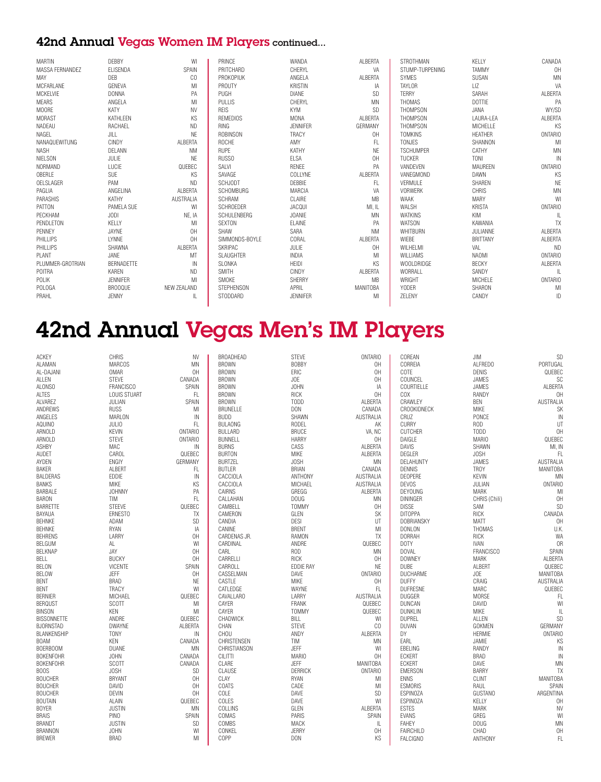#### 42nd Annual Vegas Women IM Players continued...

| <b>MARTIN</b>    | DEBBY           | WI               | PRINCE             | WANDA           | <b>ALBERTA</b>  | STROTHMAN         | KELLY           | CANADA         |
|------------------|-----------------|------------------|--------------------|-----------------|-----------------|-------------------|-----------------|----------------|
| MASSA FERNANDEZ  | <b>ELISENDA</b> | SPAIN            | PRITCHARD          | CHERYL          | VA              | STUMP-TURPENING   | <b>TAMMY</b>    | OH             |
| MAY              | DEB             | CO               | <b>PROKOPIUK</b>   | ANGELA          | ALBERTA         | <b>SYMES</b>      | SUSAN           | <b>MN</b>      |
| MCFARLANE        | GENEVA          | MI               | PROUTY             | <b>KRISTIN</b>  | IA              | TAYLOR            | LIZ             | VA             |
| MCKELVIE         | <b>DONNA</b>    | PA               | PUGH               | <b>DIANE</b>    | SD              | <b>TERRY</b>      | SARAH           | ALBERTA        |
| <b>MEARS</b>     | ANGELA          | MI               | <b>PULLIS</b>      | CHERYL          | <b>MN</b>       | THOMAS            | <b>DOTTIE</b>   | PA             |
| <b>MOORE</b>     | KATY            | <b>NV</b>        | <b>REIS</b>        | <b>KYM</b>      | <b>SD</b>       | <b>THOMPSON</b>   | JANA            | WY/SD          |
| <b>MORAST</b>    | KATHLEEN        | KS               | <b>REMEDIOS</b>    | <b>MONA</b>     | ALBERTA         | THOMPSON          | LAURA-LEA       | ALBERTA        |
| NADEAU           | RACHAEL         | <b>ND</b>        | <b>RING</b>        | <b>JENNIFER</b> | GERMANY         | <b>THOMPSON</b>   | MICHELLE        | KS             |
| NAGEL            | JILL            | <b>NE</b>        | ROBINSON           | <b>TRACY</b>    | 0H              | <b>TOMKINS</b>    | <b>HEATHER</b>  | <b>ONTARIO</b> |
| NANAQUEWITUNG    | CINDY           | ALBERTA          | <b>ROCHE</b>       | AMY             | FL              | <b>TONJES</b>     | SHANNON         | MI             |
| <b>NASH</b>      | DELANN          | <b>NM</b>        | <b>RUPE</b>        | KATHY           | <b>NE</b>       | <b>TSCHUMPER</b>  | CATHY           | <b>MN</b>      |
| <b>NIELSON</b>   | JULIE           | <b>NE</b>        | <b>RUSSO</b>       | ELSA            | 0H              | <b>TUCKER</b>     | <b>TONI</b>     | $\mathbb{N}$   |
| NORMAND          | LUCIE           | QUEBEC           | SALVI              | RENEE           | PA              | VANDEVEN          | MAUREEN         | <b>ONTARIO</b> |
| OBERLE           | SUE             | KS               | SAVAGE             | COLLYNE         | ALBERTA         | VANEGMOND         | DAWN            | KS             |
| OELSLAGER        | PAM             | <b>ND</b>        | <b>SCHJODT</b>     | DEBBIE          | FL.             | VERMULE           | <b>SHAREN</b>   | <b>NE</b>      |
| PAGLIA           | ANGELINA        | ALBERTA          | <b>SCHOMBURG</b>   | MARCIA          | VA              | <b>VORWERK</b>    | CHRIS           | MN             |
| PARASHIS         | KATHY           | <b>AUSTRALIA</b> | <b>SCHRAM</b>      | CLAIRE          | <b>MB</b>       | <b>WAAK</b>       | <b>MARY</b>     | WI             |
| PATTON           | PAMELA SUE      | WI               | <b>SCHROEDER</b>   | JACQUI          | MI, IL          | <b>WALSH</b>      | <b>KRISTA</b>   | <b>ONTARIO</b> |
| PECKHAM          | <b>JODI</b>     | NE, IA           | <b>SCHULENBERG</b> | <b>JOANIE</b>   | MN              | <b>WATKINS</b>    | KIM             | IL.            |
| PENDLETON        | KELLY           | MI               | <b>SEXTON</b>      | ELAINE          | PA              | <b>WATSON</b>     | KAWANIA         | TX             |
| PENNEY           | JAYNE           | OH               | SHAW               | SARA            | <b>NM</b>       | WHITBURN          | JULIANNE        | ALBERTA        |
| PHILLIPS         | <b>LYNNE</b>    | OH               | SIMMONDS-BOYLE     | CORAL           | ALBERTA         | WIEBE             | <b>BRITTANY</b> | ALBERTA        |
| PHILLIPS         | SHAWNA          | ALBERTA          | <b>SKRIPAC</b>     | JULIE           | 0H              | WILHELMI          | VAL             | ND             |
| PLANT            | JANE            | MT               | <b>SLAUGHTER</b>   | <b>INDIA</b>    | MI              | WILLIAMS          | <b>NAOMI</b>    | ONTARIO        |
| PLUMMER-GROTRIAN | BERNADETTE      | IN               | SLONKA             | <b>HEIDI</b>    | <b>KS</b>       | <b>WOOLDRIDGE</b> | <b>BECKY</b>    | ALBERTA        |
| POITRA           | KAREN           | <b>ND</b>        | <b>SMITH</b>       | <b>CINDY</b>    | ALBERTA         | WORRALL           | SANDY           | IL             |
| POLIK            | <b>JENNIFER</b> | MI               | SMOKE              | SHERRY          | <b>MB</b>       | WRIGHT            | MICHELE         | <b>ONTARIO</b> |
| <b>POLOGA</b>    | <b>BROOQUE</b>  | NEW ZEALAND      | <b>STEPHENSON</b>  | APRIL           | <b>MANITOBA</b> | <b>YODER</b>      | SHARON          | MI             |
| PRAHL            | JENNY           | IL               | STODDARD           | <b>JENNIFER</b> | MI              | ZELENY            | CANDY           | ID             |
|                  |                 |                  |                    |                 |                 |                   |                 |                |

# 42nd Annual Vegas Men's IM Players

| ACKEY              | CHRIS               | <b>NV</b>      | BROADHEAD        | <b>STEVE</b>     | <b>ONTARIO</b>   | COREAN            | JIM              | SD               |
|--------------------|---------------------|----------------|------------------|------------------|------------------|-------------------|------------------|------------------|
| <b>ALAMAN</b>      | <b>MARCOS</b>       | <b>MN</b>      | <b>BROWN</b>     | <b>BOBBY</b>     | OH               | CORREIA           | ALFREDO          | PORTUGAL         |
| AL-DAJANI          | OMAR                | OH             | <b>BROWN</b>     | ERIC             | OH               | COTE              | <b>DENIS</b>     | QUEBEC           |
| ALLEN              | <b>STEVE</b>        | CANADA         | <b>BROWN</b>     | JOE              | OH               | COUNCEL           | <b>JAMES</b>     | SC               |
| ALONSO             | <b>FRANCISCO</b>    | SPAIN          | <b>BROWN</b>     | <b>JOHN</b>      | IA               | COURTIELLE        | <b>JAMES</b>     | ALBERTA          |
| ALTES              | <b>LOUIS STUART</b> | FL             | <b>BROWN</b>     | RICK             | OH               | COX               | RANDY            | OH               |
| ALVAREZ            | JULIAN              | SPAIN          | <b>BROWN</b>     | <b>TODD</b>      | ALBERTA          | CRAWLEY           | <b>BEN</b>       | <b>AUSTRALIA</b> |
| ANDREWS            | <b>RUSS</b>         | MI             | <b>BRUNELLE</b>  | DON              | CANADA           | CROOKIDNECK       | <b>MIKE</b>      | SK               |
| ANGELES            | MARLON              | IN             | <b>BUDD</b>      | SHAWN            | <b>AUSTRALIA</b> | CRUZ              | PONCE            | IN               |
| <b>AQUINO</b>      | <b>JULIO</b>        | FL             | <b>BULAONG</b>   | RODEL            | AK               | <b>CURRY</b>      | ROD              | UT               |
| ARNOLD             | <b>KEVIN</b>        | <b>ONTARIO</b> | BULLARD          | <b>BRUCE</b>     | VA, NC           | <b>CUTCHER</b>    | TODD             | OH               |
| ARNOLD             | <b>STEVE</b>        | ONTARIO        | <b>BUNNELL</b>   | <b>HARRY</b>     | 0H               | DAIGLE            | <b>MARIO</b>     | QUEBEC           |
| ASHBY              | MAC                 | IN             | <b>BURNS</b>     | CASS             | ALBERTA          | DAVIS             | SHAWN            | MI, IN           |
| <b>AUDET</b>       | CAROL               | QUEBEC         | <b>BURTON</b>    | MIKE             | ALBERTA          | DEGLER            | JOSH             | FL               |
| AYDEN              | ENGIY               | GERMANY        | <b>BURTZEL</b>   | <b>JOSH</b>      | <b>MN</b>        | <b>DELAHUNTY</b>  | <b>JAMES</b>     | <b>AUSTRALIA</b> |
| <b>BAKER</b>       | ALBERT              | FL.            | <b>BUTLER</b>    | <b>BRIAN</b>     | CANADA           | <b>DENNIS</b>     | <b>TROY</b>      | <b>MANITOBA</b>  |
| <b>BALDERAS</b>    |                     | $\mathbb{N}$   |                  |                  |                  |                   |                  |                  |
|                    | EDDIE               |                | CACCIOLA         | <b>ANTHONY</b>   | AUSTRALIA        | DEOPERE           | <b>KEVIN</b>     | ΜN               |
| <b>BANKS</b>       | <b>MIKE</b>         | KS             | CACCIOLA         | MICHAEL          | AUSTRALIA        | <b>DEVOS</b>      | JULIAN           | <b>ONTARIO</b>   |
| BARBALE            | <b>JOHNNY</b>       | PA             | CAIRNS           | GREGG            | ALBERTA          | <b>DEYOUNG</b>    | <b>MARK</b>      | MI               |
| <b>BARON</b>       | TIM                 | FL.            | CALLAHAN         | <b>DOUG</b>      | ΜN               | DININGER          | CHRIS (Chili)    | OH               |
| <b>BARRETTE</b>    | STEEVE              | QUEBEC         | CAMBELL          | <b>TOMMY</b>     | OH               | <b>DISSE</b>      | SAM              | SD               |
| BAYAUA             | ERNESTO             | TX             | CAMERON          | GLEN             | SK               | <b>DITOPPA</b>    | <b>RICK</b>      | CANADA           |
| BEHNKE             | ADAM                | SD             | CANDIA           | <b>DESI</b>      | UT               | <b>DOBRIANSKY</b> | <b>MATT</b>      | OH               |
| <b>BEHNKE</b>      | <b>RYAN</b>         | IA             | CANINE           | <b>BRENT</b>     | MI               | <b>DONLON</b>     | THOMAS           | U.K.             |
| <b>BEHRENS</b>     | LARRY               | 0H             | CARDENAS JR.     | <b>RAMON</b>     | TX               | <b>DORRAH</b>     | RICK             | <b>WA</b>        |
| BELGUM             | AL.                 | WI             | CARDINAL         | ANDRE            | QUEBEC           | DOTY              | <b>IVAN</b>      | 0 <sub>R</sub>   |
| <b>BELKNAP</b>     | JAY                 | OH             | CARL             | <b>ROD</b>       | <b>MN</b>        | <b>DOVAL</b>      | <b>FRANCISCO</b> | SPAIN            |
| <b>BELL</b>        | <b>BUCKY</b>        | OH             | CARRELLI         | <b>RICK</b>      | 0H               | <b>DOWNEY</b>     | <b>MARK</b>      | ALBERTA          |
| BELON              | <b>VICENTE</b>      | SPAIN          | CARROLL          | <b>EDDIE RAY</b> | NE               | <b>DUBE</b>       | ALBERT           | QUEBEC           |
| <b>BELOW</b>       | <b>JEFF</b>         | 0H             | CASSELMAN        | DAVE             | <b>ONTARIO</b>   | DUCHARME          | <b>JOE</b>       | <b>MANITOBA</b>  |
| <b>BENT</b>        | <b>BRAD</b>         | NE             | CASTLE           | <b>MIKE</b>      | 0H               | <b>DUFFY</b>      | CRAIG            | <b>AUSTRALIA</b> |
| <b>BENT</b>        | TRACY               | WI             | CATLEDGE         | WAYNE            | FL.              | <b>DUFRESNE</b>   | MARC             | QUEBEC           |
| <b>BERNIER</b>     | MICHAEL             | QUEBEC         | <b>CAVALLARO</b> | LARRY            | AUSTRALIA        | DUGGER            | <b>MORSE</b>     | FL               |
| <b>BERQUST</b>     | SCOTT               | MI             | CAYER            | FRANK            | QUEBEC           | <b>DUNCAN</b>     | DAVID            | WI               |
| <b>BINSON</b>      | KEN                 | MI             | CAYER            | <b>TOMMY</b>     | QUEBEC           | <b>DUNKLIN</b>    | <b>MIKE</b>      | $\mathbb{L}$     |
| <b>BISSONNETTE</b> | ANDRE               | QUEBEC         | CHADWICK         | BILL             | WI               | <b>DUPREL</b>     | ALLEN            | SD               |
| <b>BJORNSTAD</b>   | <b>DWAYNE</b>       | ALBERTA        | CHAN             | <b>STEVE</b>     | CO               | DUVAN             | <b>GOKMEN</b>    | GERMANY          |
| <b>BLANKENSHIP</b> | <b>TONY</b>         | IN             | CHOU             | ANDY             | ALBERTA          | DY                | <b>HERMIE</b>    | <b>ONTARIO</b>   |
| <b>BOAM</b>        | <b>KEN</b>          | CANADA         | CHRISTENSEN      | TIM              | <b>MN</b>        | EARL              | JAMIE            | KS               |
| BOERBOOM           | DUANE               | MN             | CHRISTIANSON     | JEFF             | WI               | EBELING           | RANDY            | $\mathbb{N}$     |
| <b>BOKENFOHR</b>   | <b>JOHN</b>         | CANADA         | <b>CILITTI</b>   | <b>MARIO</b>     | OH               | <b>ECKERT</b>     | <b>BRAD</b>      | IN               |
| <b>BOKENFOHR</b>   | SCOTT               | CANADA         | CLARE            | JEFF             | <b>MANITOBA</b>  | <b>ECKERT</b>     | DAVE             | MN               |
| BOOS               | <b>JOSH</b>         | SD             | CLAUSE           | DERRICK          | <b>ONTARIO</b>   | <b>EMERSON</b>    | <b>BARRY</b>     | TX               |
|                    | <b>BRYANT</b>       | OH             | CLAY             | <b>RYAN</b>      |                  | <b>ENNS</b>       | <b>CLINT</b>     | <b>MANITOBA</b>  |
| <b>BOUCHER</b>     |                     |                |                  |                  | MI               |                   |                  |                  |
| <b>BOUCHER</b>     | DAVID               | OH             | COATS            | CADE             | MI               | <b>ESMORIS</b>    | RAUL             | SPAIN            |
| <b>BOUCHER</b>     | <b>DEVIN</b>        | OH             | COLE             | DAVE             | SD               | <b>ESPINOZA</b>   | <b>GUSTANO</b>   | ARGENTINA        |
| <b>BOUTAIN</b>     | ALAIN               | QUEBEC         | COLES            | DAVE             | WI               | <b>ESPINOZA</b>   | KELLY            | OH               |
| <b>BOYER</b>       | <b>JUSTIN</b>       | MN             | COLLINS          | GLEN             | ALBERTA          | <b>ESTES</b>      | <b>MARK</b>      | <b>NV</b>        |
| <b>BRAIS</b>       | PINO                | SPAIN          | COMAS            | PARIS            | SPAIN            | <b>EVANS</b>      | GREG             | WI               |
| <b>BRANDT</b>      | <b>JUSTIN</b>       | SD             | COMBS            | MACK             | IL.              | <b>FAHEY</b>      | <b>DOUG</b>      | MN               |
| <b>BRANNON</b>     | <b>JOHN</b>         | WI             | CONKEL           | JERRY            | OH               | FAIRCHILD         | CHAD             | OH               |
| <b>BREWER</b>      | <b>BRAD</b>         | MI             | COPP             | <b>DON</b>       | KS               | <b>FALCIGNO</b>   | ANTHONY          | FL               |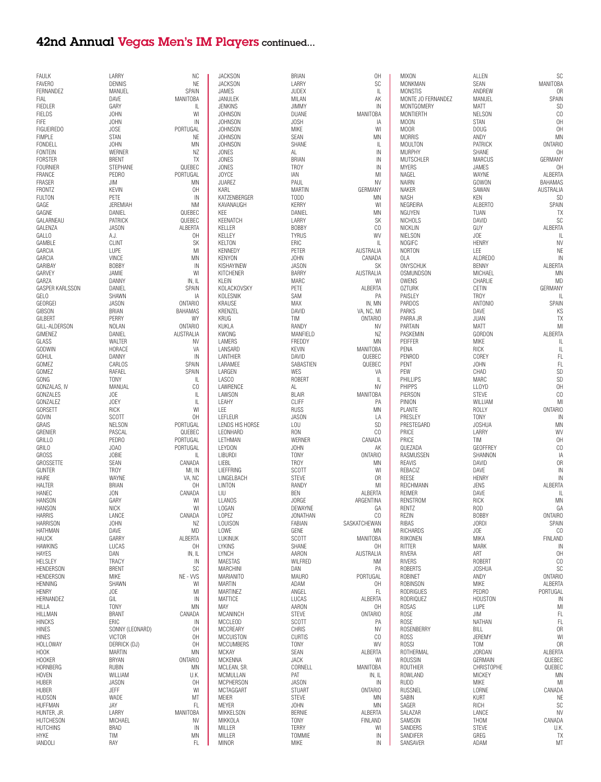### 42nd Annual Vegas Men's IM Players continued...

| <b>FAULK</b>                  | LARRY           | NC.              | <b>JACKSON</b>         | <b>BRIAN</b>          | 0H               | <b>MIXON</b>         | ALLEN             | SC              |
|-------------------------------|-----------------|------------------|------------------------|-----------------------|------------------|----------------------|-------------------|-----------------|
| <b>FAVERO</b>                 | <b>DENNIS</b>   | NE               | <b>JACKSON</b>         | LARRY                 | SC               | MONKMAN              | SEAN              | <b>MANITOBA</b> |
| FERNANDEZ                     | MANUEL          | SPAIN            | <b>JAMES</b>           | <b>JUDEX</b>          | $\mathbb{L}$     | <b>MONSTIS</b>       | ANDREW            | 0R              |
| FIAL                          | DAVE            | MANITOBA         | JANULEK                | MILAN                 | АK               | MONTE JO FERNANDEZ   | MANUEL            | SPAIN           |
| <b>FIEDLER</b>                | GARY            | IL               | <b>JENKINS</b>         | <b>JIMMY</b>          | IN               | MONTGOMERY           | <b>MATT</b>       | SD              |
| <b>FIELDS</b>                 | <b>JOHN</b>     | WI               | <b>JOHNSON</b>         | DUANE                 | MANITOBA         | MONTIERTH            | <b>NELSON</b>     | CO              |
| FIFE                          | <b>JOHN</b>     | IN               | <b>JOHNSON</b>         | JOSH                  | ΙA               | <b>MOON</b>          | <b>STAN</b>       | OH              |
| <b>FIGUEIREDO</b>             | JOSE            | PORTUGAL         | <b>JOHNSON</b>         | <b>MIKE</b>           | WI               | M00R                 | <b>DOUG</b>       | OH              |
| <b>FIMPLE</b>                 | <b>STAN</b>     | NE               | <b>JOHNSON</b>         | SEAN                  | MN               | <b>MORRIS</b>        | ANDY              | MN              |
| FONDELL                       | <b>JOHN</b>     | MN               | <b>JOHNSON</b>         | SHANE                 | L                | <b>MOULTON</b>       | PATRICK           | <b>ONTARIO</b>  |
| <b>FONTEIN</b>                | WERNER          | ΝZ               | <b>JONES</b>           | AL                    | IN               | <b>MURPHY</b>        | SHANE             | 0H              |
|                               |                 |                  |                        |                       |                  |                      |                   |                 |
| <b>FORSTER</b>                | <b>BRENT</b>    | TX               | <b>JONES</b>           | <b>BRIAN</b>          | IN               | MUTSCHLER            | <b>MARCUS</b>     | GERMANY         |
| <b>FOURNIER</b>               | STEPHANE        | QUEBEC           | <b>JONES</b>           | <b>TROY</b>           | IN               | <b>MYERS</b>         | JAMES             | 0H              |
| FRANCE                        | PEDRO           | PORTUGAL         | <b>JOYCE</b>           | IAN                   | MI               | NAGEL                | WAYNE             | ALBERTA         |
| <b>FRASER</b>                 | JIM             | MN               | <b>JUAREZ</b>          | PAUL                  | NV               | <b>NAIRN</b>         | GOWON             | <b>BAHAMAS</b>  |
| FRONTZ                        | <b>KEVIN</b>    | 0H               | KARL                   | <b>MARTIN</b>         | GERMANY          | NAKER                | SAWAN             | AUSTRALIA       |
| <b>FULTON</b>                 | PETE            | IN               | KATZENBERGER           | <b>TODD</b>           | MN               | <b>NASH</b>          | <b>KEN</b>        | SD              |
| GAGE                          | JEREMIAH        | <b>NM</b>        | KAVANAUGH              | <b>KERRY</b>          | WI               | NEGREIRA             | ALBERTO           | SPAIN           |
| GAGNE                         | DANIEL          | QUEBEC           | KEE                    | DANIEL                | MN               | NGUYEN               | TUAN              | TX              |
| GALARNEAU                     | PATRICK         | QUEBEC           | KEENATCH               | LARRY                 | SK               | <b>NICHOLS</b>       | DAVID             | SC              |
| GALENZA                       | <b>JASON</b>    | ALBERTA          | KELLER                 | <b>BOBBY</b>          | CO               | NICKLIN              | GUY               | ALBERTA         |
| GALLO                         | A.J.            | 0H               | KELLEY                 | <b>TYRUS</b>          | WV               | <b>NIELSON</b>       | <b>JOE</b>        | L               |
| GAMBLE                        | <b>CLINT</b>    | SK               | <b>KELTON</b>          | ERIC                  | $\mathbb{L}$     | NOGIFC               | <b>HENRY</b>      | <b>NV</b>       |
|                               |                 |                  |                        |                       |                  |                      |                   |                 |
| GARCIA                        | LUPE            | MI               | <b>KENNEDY</b>         | PETER                 | AUSTRALIA        | <b>NORTON</b>        | LEE               | <b>NE</b>       |
| GARCIA                        | VINCE           | MN               | <b>KENYON</b>          | <b>JOHN</b>           | CANADA           | OLA                  | ALDREDO           | IN              |
| GARIBAY                       | <b>BOBBY</b>    | IN               | KISHAYINEW             | <b>JASON</b>          | SK               | ONYSCHUK             | <b>BENNY</b>      | ALBERTA         |
| GARVEY                        | JAMIE           | WI               | <b>KITCHENER</b>       | <b>BARRY</b>          | AUSTRALIA        | OSMUNDSON            | MICHAEL           | MN              |
| GARZA                         | DANNY           | IN, IL           | KLEIN                  | MARC                  | WI               | OWENS                | CHARLIE           | MD              |
| GASPER KARLSSON               | DANIEL          | SPAIN            | KOLACKOVSKY            | PETE                  | ALBERTA          | <b>OZTURK</b>        | CETIN             | GERMANY         |
| GELO                          | SHAWN           | ΙA               | KOLESNIK               | SAM                   | PA               | PAISLEY              | <b>TROY</b>       | L               |
| GEORGEI                       | <b>JASON</b>    | <b>ONTARIO</b>   | <b>KRAUSE</b>          | MAX                   | IN, MN           | <b>PARDOS</b>        | ANTONIO           | SPAIN           |
| <b>GIBSON</b>                 | <b>BRIAN</b>    | <b>BAHAMAS</b>   | KRENZEL                | DAVID                 | VA, NC, MI       | <b>PARKS</b>         | DAVE              | KS              |
| GILBERT                       | PERRY           | WY               | <b>KRUG</b>            | TIM                   | <b>ONTARIO</b>   | PARRA JR             | JUAN              | TX              |
| GILL-ALDERSON                 | <b>NOLAN</b>    | <b>ONTARIO</b>   | KUKLA                  | RANDY                 | <b>NV</b>        | PARTAIN              | <b>MATT</b>       | MI              |
| GIMENEZ                       | DANIEL          | <b>AUSTRALIA</b> | <b>KWONG</b>           | MANFIELD              | NZ               | PASKEMIN             | GORDON            | ALBERTA         |
| GLASS                         | WALTER          | <b>NV</b>        | LAMERS                 | FREDDY                | MN               | PEIFFER              | <b>MIKE</b>       | L               |
| GODWIN                        | HORACE          | VA               | LANSARD                | <b>KEVIN</b>          | <b>MANITOBA</b>  | PENA                 | <b>RICK</b>       | L               |
|                               |                 |                  |                        |                       |                  |                      |                   |                 |
| <b>GOHUL</b>                  | DANNY           | IN               | LANTHIER               | DAVID                 | QUEBEC           | <b>PENROD</b>        | COREY             | FL              |
| GOMEZ                         | CARLOS          | SPAIN            | LARAMEE                | SABASTIEN             | QUEBEC           | PENT                 | <b>JOHN</b>       | FL              |
| GOMEZ                         | RAFAEL          | SPAIN            | LARGEN                 | <b>WES</b>            | VA               | PEW                  | CHAD              | SD              |
| GONG                          | <b>TONY</b>     | L                | LASCO                  | ROBERT                | L                | PHILLIPS             | MARC              | SD              |
| GONZALAS, IV                  | MANUAL          | CO               | LAWRENCE               | AL                    | <b>NV</b>        | <b>PHIPPS</b>        | <b>LLOYD</b>      | OH              |
| GONZALES                      | JOE             | L                | LAWSON                 | <b>BLAIR</b>          | MANITOBA         | PIERSON              | <b>STEVE</b>      | CO              |
| GONZALEZ                      | JOEY            | L                | LEAHY                  | <b>CLIFF</b>          | PA               | PINION               | WILLIAM           | MI              |
| GORSETT                       | <b>RICK</b>     | WI               | LEE                    | <b>RUSS</b>           | MN               | PLANTE               | <b>ROLLY</b>      | <b>ONTARIO</b>  |
| GOVIN                         | SCOTT           | 0H               | LEFLEUR                | <b>JASON</b>          | LA               | PRESLEY              | <b>TONY</b>       | IN              |
| GRAIS                         | <b>NELSON</b>   | PORTUGAL         | LENDS HIS HORSE        | LOU                   | SD               | PRESTEGARD           | <b>JOSHUA</b>     | MN              |
| GRENIER                       | PASCAL          | QUEBEC           | LEONHARD               | <b>RON</b>            | CO               | PRICE                | LARRY             | WV              |
| <b>GRILLO</b>                 | PEDRO           | PORTUGAL         | LETHMAN                | <b>WERNER</b>         | CANADA           | PRICE                | TIM               | 0H              |
| GRILO                         | JOA0            | PORTUGAL         | <b>LEYDON</b>          | <b>JOHN</b>           | AK               | QUEZADA              | <b>GEOFFREY</b>   | CO              |
| <b>GROSS</b>                  | <b>JOBIE</b>    | IL               | LIBURDI                | <b>TONY</b>           | <b>ONTARIO</b>   | RASMUSSEN            | SHANNON           | IA              |
|                               |                 |                  |                        |                       |                  |                      |                   |                 |
| GROSSETTE                     | SEAN            | CANADA           | LIEBL                  | <b>TROY</b>           | MN               | <b>REAVIS</b>        | DAVID             | 0R              |
| <b>GUNTER</b>                 | <b>TROY</b>     | MI, IN           | LIEFFRING              | SCOTT                 | WI               | REBACIZ              | DAVE              | IN              |
| HAIRE                         | WAYNE           | VA, NC           | LINGELBACH             | <b>STEVE</b>          | 0R               | <b>REESE</b>         | <b>HENRY</b>      | IN              |
| HALTER                        | <b>BRIAN</b>    | 0H               | LINTON                 | RANDY                 | MI               | REICHMANN            | <b>JENS</b>       | ALBERTA         |
| HANEC                         | JON             | CANADA           | LIU                    | BEN                   | ALBERTA          | REIMER               | DAVE              | IL              |
| <b>HANSON</b>                 | GARY            | WI               | LLANOS                 | <b>JORGE</b>          | ARGENTINA        | RENSTROM             | <b>RICK</b>       | MN              |
| <b>HANSON</b>                 | <b>NICK</b>     | WI               | LOGAN                  | DEWAYNE               | GA               | RENTZ                | ROD               | GA              |
| <b>HARRIS</b>                 | LANCE           | CANADA           | LOPEZ                  | JONATHAN              | CO               | REZIN                | <b>BOBBY</b>      | <b>ONTAIRO</b>  |
| <b>HARRISON</b>               | <b>JOHN</b>     | ΝZ               | LOUISON                | FABIAN                | SASKATCHEWAN     | <b>RIBAS</b>         | <b>JORDI</b>      | SPAIN           |
| <b>HATHMAN</b>                | DAVE            | MD               | LOWE                   | GENE                  | ΜN               | <b>RICHARDS</b>      | JOE               | CO              |
| <b>HAUCK</b>                  | GARRY           | ALBERTA          | LUKINUK                | SCOTT                 | <b>MANITOBA</b>  | RIIKONEN             | MIKA              | <b>FINLAND</b>  |
| <b>HAWKINS</b>                | LUCAS           | 0H               | <b>LYKINS</b>          | SHANE                 | 0H               | RITTER               | <b>MARK</b>       | IN              |
| <b>HAYES</b>                  | DAN             | IN, IL           | LYNCH                  | AARON                 | AUSTRALIA        | RIVERA               | ART               | OH              |
| HELSLEY                       | <b>TRACY</b>    | IN               | <b>MAESTAS</b>         | WILFRED               | <b>NM</b>        | <b>RIVERS</b>        | ROBERT            | CO              |
| <b>HENDERSON</b>              | <b>BRENT</b>    | SC               | MARCHINI               | DAN                   | PA               | <b>ROBERTS</b>       | <b>JOSHUA</b>     | SC              |
| <b>HENDERSON</b>              | <b>MIKE</b>     | NE - VVS         | <b>MARIANITO</b>       | <b>MAURO</b>          | PORTUGAL         | ROBINET              | ANDY              | <b>ONTARIO</b>  |
| <b>HENNING</b>                | SHAWN           | WI               | <b>MARTIN</b>          | ADAM                  | 0H               | ROBINSON             | <b>MIKE</b>       | ALBERTA         |
| <b>HENRY</b>                  | JOE             | MI               | <b>MARTINEZ</b>        | ANGEL                 | FL               | RODRIGUES            | PEDRO             | PORTUGAL        |
| HERNANDEZ                     |                 | IN               | MATTICE                | LUCAS                 |                  | RODRIQUEZ            | <b>HOUSTON</b>    | IN              |
|                               | GIL             |                  |                        |                       | ALBERTA          |                      |                   |                 |
| HILLA                         | <b>TONY</b>     | MN               | MAY                    | AARON                 | 0H               | ROSAS                | LUPE              | MI              |
| HILLMAN                       | <b>BRANT</b>    | CANADA           | MCANINCH               | <b>STEVE</b>          | <b>ONTARIO</b>   | ROSE                 | JIM               | FL              |
| <b>HINCKS</b>                 | ERIC            | IN               | MCCLEOD                | <b>SCOTT</b>          | PA               | <b>ROSE</b>          | NATHAN            | FL              |
| <b>HINES</b>                  | SONNY (LEONARD) | 0H               | MCCREARY               | CHRIS                 | NV               | ROSENBERRY           | BILL              | 0R              |
| <b>HINES</b>                  | <b>VICTOR</b>   | 0H               | <b>MCCUISTON</b>       | <b>CURTIS</b>         | CO               | <b>ROSS</b>          | JEREMY            | W               |
| <b>HOLLOWAY</b>               | DERRICK (DJ)    | 0H               | <b>MCCUMBERS</b>       | <b>TONY</b>           | WV               | <b>ROSSI</b>         | TOM               | 0R              |
| HOOK                          | <b>MARTIN</b>   | MN               | <b>MCKAY</b>           | SEAN                  | ALBERTA          | ROTHERMAL            | <b>JORDAN</b>     | ALBERTA         |
| <b>HOOKER</b>                 | <b>BRYAN</b>    | <b>ONTARIO</b>   | <b>MCKENNA</b>         | <b>JACK</b>           | WI               | ROUSSIN              | GERMAIN           | QUEBEC          |
| <b>HORNBERG</b>               | <b>RUBIN</b>    | ΜN               | MCLEAN, SR.            | CORNELL               | MANITOBA         | ROUTHIER             | <b>CHRISTOPHE</b> | QUEBEC          |
| <b>HOVEN</b>                  | WILLIAM         | U.K.             | MCMULLAN               | PAT                   | IN, IL           | ROWLAND              | MICKEY            | MN              |
| HUBER                         | JASON           | 0H               | <b>MCPHERSON</b>       | JASON                 | IN               | <b>RUDD</b>          | MIKE              | MI              |
| <b>HUBER</b>                  | JEFF            | WI               | MCTAGGART              | <b>STUART</b>         | <b>ONTARIO</b>   | <b>RUSSNEL</b>       | LORNE             | CANADA          |
| <b>HUDSON</b>                 | WADE            | ΜT               | MEIER                  | <b>STEVE</b>          | ΜN               | SABIN                | <b>KURT</b>       | NE              |
|                               | JAY             | FL               | <b>MEYER</b>           |                       |                  | SAGER                | RICH              | SC              |
| <b>HUFFMAN</b>                |                 |                  |                        | <b>JOHN</b>           | ΜN               |                      |                   |                 |
|                               |                 |                  |                        |                       |                  |                      |                   |                 |
| HUNTER, JR.                   | LARRY           | MANITOBA         | <b>MIKKELSON</b>       | <b>BERNIE</b>         | ALBERTA          | SALAZAR              | LANCE             | <b>NV</b>       |
| HUTCHESON                     | MICHAEL         | <b>NV</b>        | MIKKOLA                | <b>TONY</b>           | FINLAND          | SAMSON               | THOM              | CANADA          |
| <b>HUTCHINS</b>               | <b>BRAD</b>     | IN               | MILLER                 | <b>TERRY</b>          | WI               | SANDERS              | <b>STEVE</b>      | U.K.            |
| <b>HYKE</b><br><b>IANDOLI</b> | TIM<br>RAY      | MN<br>FL.        | MILLER<br><b>MINOR</b> | TOMMIE<br><b>MIKE</b> | ${\sf IN}$<br>IN | SANDIFER<br>SANSAVER | GREG<br>ADAM      | TX<br>MT        |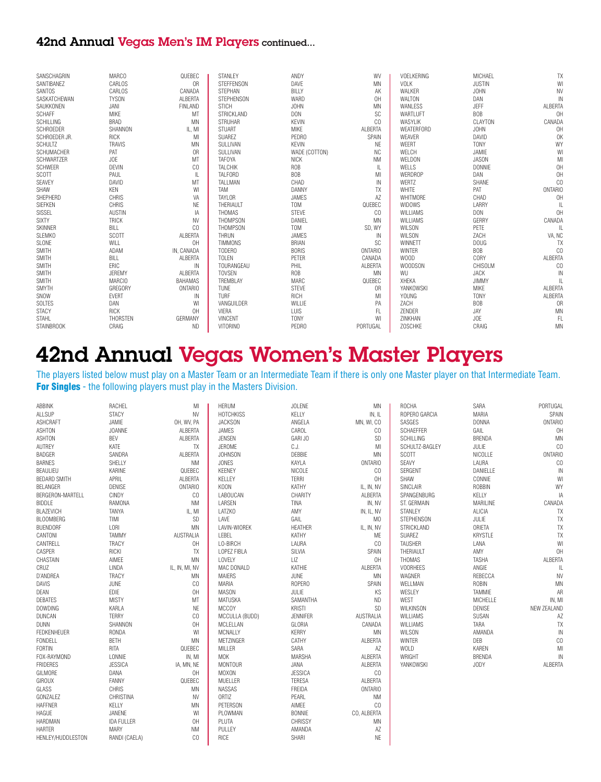#### 42nd Annual Vegas Men's IM Players continued...

| SANSCHAGRIN       | <b>MARCO</b>    | QUEBEC         | STANLEY           | ANDY             | WV             | VOELKERING        | MICHAEL       | TX             |
|-------------------|-----------------|----------------|-------------------|------------------|----------------|-------------------|---------------|----------------|
| SANTIBANEZ        | CARLOS          | 0 <sub>R</sub> | STEFFENSON        | DAVE             | <b>MN</b>      | <b>VOLK</b>       | <b>JUSTIN</b> | WI             |
| SANTOS            | CARLOS          | CANADA         | <b>STEPHAN</b>    | <b>BILLY</b>     | AK             | WALKER            | <b>JOHN</b>   | <b>NV</b>      |
| SASKATCHEWAN      | <b>TYSON</b>    | ALBERTA        | <b>STEPHENSON</b> | WARD             | OH             | <b>WALTON</b>     | DAN           | IN             |
| SAUKKONEN         | JANI            | <b>FINLAND</b> | <b>STICH</b>      | <b>JOHN</b>      | MN             | <b>WANLESS</b>    | JEFF          | ALBERTA        |
| <b>SCHAFF</b>     | <b>MIKE</b>     | MT             | STRICKLAND        | <b>DON</b>       | SC             | WARTLUFT          | <b>BOB</b>    | OH             |
| SCHILLING         | <b>BRAD</b>     | <b>MN</b>      | <b>STRUHAR</b>    | <b>KEVIN</b>     | CO             | <b>WASYLIK</b>    | CLAYTON       | CANADA         |
| SCHROEDER         | SHANNON         | IL, MI         | <b>STUART</b>     | <b>MIKE</b>      | <b>ALBERTA</b> | <b>WEATERFORD</b> | <b>JOHN</b>   | OH             |
| SCHROEDER JR.     | <b>RICK</b>     | MI             | <b>SUAREZ</b>     | PEDRO            | SPAIN          | WEAVER            | DAVID         | 0K             |
| <b>SCHULTZ</b>    | <b>TRAVIS</b>   | <b>MN</b>      | SULLIVAN          | <b>KEVIN</b>     | <b>NE</b>      | WEERT             | <b>TONY</b>   | WY             |
| SCHUMACHER        | PAT             | 0R             | SULLIVAN          | WADE (COTTON)    | <b>NC</b>      | WELCH             | JAMIE         | WI             |
| SCHWARTZER        | JOE             | MT             | <b>TAFOYA</b>     | NICK             | <b>NM</b>      | WELDON            | JASON         | MI             |
| SCHWEER           | DEVIN           | CO             | TALCHIK           | <b>ROB</b>       | IL             | WELLS             | <b>DONNIE</b> | OH             |
| SCOTT             | PAUL            | IL             | <b>TALFORD</b>    | <b>BOB</b>       | MI             | <b>WERDROP</b>    | DAN           | OH             |
| SEAVEY            | DAVID           | MT             | TALLMAN           | CHAD             | IN             | WERTZ             | SHANE         | CO             |
| SHAW              | KEN             | WI             | TAM               | DANNY            | TX             | <b>WHITE</b>      | PAT           | <b>ONTARIO</b> |
| SHEPHERD          | CHRIS           | VA             | <b>TAYLOR</b>     | JAMES            | AZ             | WHITMORE          | CHAD          | OH             |
| SIEFKEN           | CHRIS           | NE             | THERIAULT         | T <sub>0</sub> M | QUEBEC         | <b>WIDOWS</b>     | LARRY         |                |
| <b>SISSEL</b>     | <b>AUSTIN</b>   | IA             | THOMAS            | <b>STEVE</b>     | CO             | <b>WILLIAMS</b>   | <b>DON</b>    | OH             |
| <b>SIXTY</b>      | <b>TRICK</b>    | <b>NV</b>      | THOMPSON          | DANIEL           | <b>MN</b>      | WILLIAMS          | GERRY         | CANADA         |
| <b>SKINNER</b>    | BILL            | CO             | THOMPSON          | T <sub>0</sub> M | SD, WY         | <b>WILSON</b>     | PETE          | Ш              |
| <b>SLEMKO</b>     | SCOTT           | <b>ALBERTA</b> | <b>THRUN</b>      | JAMES            | IN             | <b>WILSON</b>     | ZACH          | VA, NC         |
| SLONE             | WILL            | OH             | <b>TIMMONS</b>    | <b>BRIAN</b>     | SC             | WINNETT           | <b>DOUG</b>   | <b>TX</b>      |
| <b>SMITH</b>      | ADAM            | IN, CANADA     | TODERO            | <b>BORIS</b>     | <b>ONTARIO</b> | <b>WINTER</b>     | <b>BOB</b>    | CO             |
| <b>SMITH</b>      | BILL            | <b>ALBERTA</b> | <b>TOLEN</b>      | PETER            | CANADA         | WOOD              | <b>CORY</b>   | ALBERTA        |
| <b>SMITH</b>      | ERIC            | IN             | TOURANGEAU        | PHIL             | ALBERTA        | <b>WOODSON</b>    | CHISOLM       | CO             |
| <b>SMITH</b>      | JEREMY          | ALBERTA        | <b>TOVSEN</b>     | <b>ROB</b>       | <b>MN</b>      | WU                | <b>JACK</b>   | IN             |
| <b>SMITH</b>      | <b>MARCIO</b>   | <b>BAHAMAS</b> | TREMBLAY          | MARC             | QUEBEC         | <b>XHEKA</b>      | JIMMY         | IL.            |
| SMYTH             | <b>GREGORY</b>  | <b>ONTARIO</b> | <b>TUNE</b>       | <b>STEVE</b>     | 0R             | YANKOWSKI         | <b>MIKE</b>   | ALBERTA        |
| SNOW              | <b>EVERT</b>    | IN             | TURF              | RICH             | MI             | <b>YOUNG</b>      | <b>TONY</b>   | ALBERTA        |
| SOLTES            | DAN             | WI             | VANGUILDER        | WILLIE           | PA             | ZACH              | <b>BOB</b>    | 0 <sub>R</sub> |
| <b>STACY</b>      | <b>RICK</b>     | OH             | VIERA             | LUIS             | FL             | ZENDER            | JAY           | MN             |
| <b>STAHL</b>      | <b>THORSTEN</b> | GERMANY        | <b>VINCENT</b>    | <b>TONY</b>      | W              | ZINKHAN           | JOE           | FL             |
| <b>STAINBROOK</b> | CRAIG           | <b>ND</b>      | <b>VITORINO</b>   | PEDRO            | PORTUGAL       | <b>ZOSCHKE</b>    | CRAIG         | <b>MN</b>      |

## 42nd Annual Vegas Women's Master Players

The players listed below must play on a Master Team or an Intermediate Team if there is only one Master player on that Intermediate Team. For Singles - the following players must play in the Masters Division.

| ABBINK              | RACHEL            | MI             | <b>HERUM</b>     | <b>JOLENE</b>   | <b>MN</b>      | <b>ROCHA</b>      | SARA           | PORTUGAL       |
|---------------------|-------------------|----------------|------------------|-----------------|----------------|-------------------|----------------|----------------|
| ALLSUP              | <b>STACY</b>      | <b>NV</b>      | <b>HOTCHKISS</b> | KELLY           | IN, IL         | ROPERO GARCIA     | <b>MARIA</b>   | SPAIN          |
| <b>ASHCRAFT</b>     | JAMIE             | OH, WV, PA     | <b>JACKSON</b>   | ANGELA          | MN, WI, CO     | SASGES            | <b>DONNA</b>   | <b>ONTARIO</b> |
| <b>ASHTON</b>       | <b>JOANNE</b>     | ALBERTA        | JAMES            | CAROL           | CO             | SCHAEFFER         | GAIL           | OH             |
| <b>ASHTON</b>       | BEV               | ALBERTA        | <b>JENSEN</b>    | GARI JO         | SD             | SCHILLING         | <b>BRENDA</b>  | <b>MN</b>      |
| AUTREY              | KATE              | TX             | <b>JEROME</b>    | C.J.            | MI             | SCHULTZ-BAGLEY    | JULIE          | CO             |
| <b>BADGER</b>       | SANDRA            | ALBERTA        | <b>JOHNSON</b>   | DEBBIE          | <b>MN</b>      | <b>SCOTT</b>      | NICOLLE        | <b>ONTARIO</b> |
| <b>BARNES</b>       | SHELLY            | <b>NM</b>      | <b>JONES</b>     | KAYLA           | <b>ONTARIO</b> | SEAVY             | LAURA          | CO             |
| BEAULIEU            | KARINE            | QUEBEC         | <b>KEENEY</b>    | NICOLE          | CO             | SERGENT           | DANIELLE       | IN             |
| <b>BEDARD SMITH</b> | APRIL             | ALBERTA        | KELLEY           | <b>TERRI</b>    | OH             | SHAW              | CONNIE         | W              |
| BELANGER            | <b>DENISE</b>     | <b>ONTARIO</b> | K00N             | KATHY           | IL, IN, NV     | SINCLAIR          | ROBBIN         | WY             |
| BERGERON-MARTELL    | <b>CINDY</b>      | CO             | LABOUCAN         | CHARITY         | ALBERTA        | SPANGENBURG       | KELLY          | IA             |
| <b>BIDDLE</b>       | RAMONA            | <b>NM</b>      | LARSEN           | TINA            | IN, NV         | ST. GERMAIN       | MARILINE       | CANADA         |
| BLAZEVICH           | TANYA             | IL, MI         | LATZKO           | AMY             | IN, IL, NV     | STANLEY           | ALICIA         | TX             |
| <b>BLOOMBERG</b>    | TIMI              | <b>SD</b>      | LAVE             | GAIL            | M <sub>0</sub> | <b>STEPHENSON</b> | JULIE          | TX             |
| <b>BUENDORF</b>     | LORI              | MN             | LAVIN-WIOREK     | <b>HEATHER</b>  | IL, IN, NV     | STRICKLAND        | ORIETA         | TX             |
| CANTONI             | <b>TAMMY</b>      | AUSTRALIA      | LEBEL            | KATHY           | ME             | SUAREZ            | <b>KRYSTLE</b> | TX             |
| CANTRELL            | <b>TRACY</b>      | 0H             | LO-BIRCH         | LAURA           | CO             | <b>TAUSHER</b>    | LANA           | WI             |
| CASPER              | RICKI             | TX             | LOPEZ FIBLA      | SILVIA          | SPAIN          | THERIAULT         | AMY            | OH             |
| CHASTAIN            | AIMEE             | <b>MN</b>      | <b>LOVELY</b>    | LIZ             | OH             | THOMAS            | <b>TASHA</b>   | ALBERTA        |
| CRUZ                | LINDA             | IL, IN, MI, NV | MAC DONALD       | KATHIE          | ALBERTA        | <b>VOORHEES</b>   | ANGIE          | IL             |
| D'ANDREA            | TRACY             | MN             | <b>MAIERS</b>    | JUNE            | MN             | WAGNER            | REBECCA        | <b>NV</b>      |
| DAVIS               | JUNE              | CO             | <b>MARIA</b>     | ROPERO          | SPAIN          | WELLMAN           | <b>ROBIN</b>   | MN             |
| DEAN                | EDIE              | OH             | <b>MASON</b>     | JULIE           | KS             | WESLEY            | <b>TAMMIE</b>  | AR             |
| <b>DEBATES</b>      | <b>MISTY</b>      | MT             | MATUSKA          | SAMANTHA        | <b>ND</b>      | WEST              | MICHELLE       | IN, MI         |
| <b>DOWDING</b>      | KARLA             | <b>NE</b>      | <b>MCCOY</b>     | <b>KRISTI</b>   | <b>SD</b>      | WILKINSON         | <b>DENISE</b>  | NEW ZEALAND    |
| DUNCAN              | <b>TERRY</b>      | CO             | MCCULLA (BUDD)   | <b>JENNIFER</b> | AUSTRALIA      | WILLIAMS          | SUSAN          | AZ             |
| <b>DUNN</b>         | SHANNON           | OH             | MCLELLAN         | GLORIA          | CANADA         | WILLIAMS          | TARA           | TX             |
| <b>FEDKENHEUER</b>  | RONDA             | WI             | MCNALLY          | <b>KERRY</b>    | <b>MN</b>      | WILSON            | AMANDA         | IN             |
| FONDELL             | <b>BETH</b>       | MN             | <b>METZINGER</b> | CATHY           | ALBERTA        | <b>WINTER</b>     | DEB            | CO             |
| FORTIN              | RITA              | QUEBEC         | MILLER           | SARA            | AZ             | WOLD              | KAREN          | MI             |
| FOX-RAYMOND         | LONNIE            | IN, MI         | <b>MOK</b>       | MARSHA          | ALBERTA        | WRIGHT            | <b>BRENDA</b>  | $\mathsf{IN}$  |
| <b>FRIDERES</b>     | <b>JESSICA</b>    | IA, MN, NE     | <b>MONTOUR</b>   | JANA            | ALBERTA        | <b>YANKOWSKI</b>  | JODY           | ALBERTA        |
| GILMORE             | DANA              | OH             | <b>MOXON</b>     | <b>JESSICA</b>  | CO             |                   |                |                |
| <b>GIROUX</b>       | <b>FANNY</b>      | QUEBEC         | MUELLER          | <b>TERESA</b>   | ALBERTA        |                   |                |                |
| GLASS               | CHRIS             | MN             | NASSAS           | FREIDA          | ONTARIO        |                   |                |                |
| GONZALEZ            | CHRISTINA         | <b>NV</b>      | <b>ORTIZ</b>     | PEARL           | <b>NM</b>      |                   |                |                |
| <b>HAFFNER</b>      | KELLY             | <b>MN</b>      | PETERSON         | AIMEE           | CO             |                   |                |                |
| HAGUE               | JANENE            | WI             | PLOWMAN          | <b>BONNIE</b>   | CO, ALBERTA    |                   |                |                |
| HARDMAN             | <b>IDA FULLER</b> | OH             | PLUTA            | CHRISSY         | MN             |                   |                |                |
| <b>HARTER</b>       | <b>MARY</b>       | <b>NM</b>      | PULLEY           | AMANDA          | AZ             |                   |                |                |
| HENLEY/HUDDLESTON   | RANDI (CAELA)     | CO             | RICE             | <b>SHARI</b>    | <b>NE</b>      |                   |                |                |
|                     |                   |                |                  |                 |                |                   |                |                |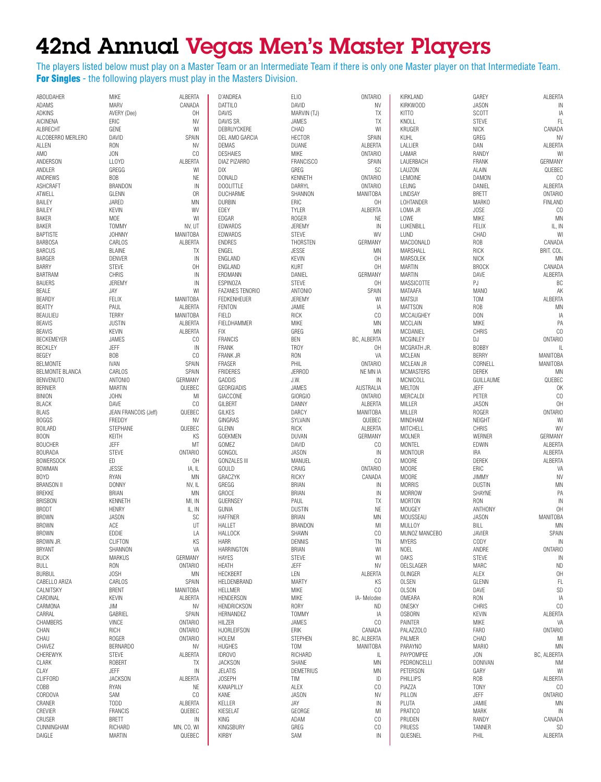# 42nd Annual Vegas Men's Master Players

The players listed below must play on a Master Team or an Intermediate Team if there is only one Master player on that Intermediate Team. For Singles - the following players must play in the Masters Division.

| ABOUDAHER                       | MIKE                         | ALBERTA                     | D'ANDREA                      | ELIO                          | <b>ONTARIO</b>                 | KIRKLAND                  | GAREY                          | ALBERTA               |
|---------------------------------|------------------------------|-----------------------------|-------------------------------|-------------------------------|--------------------------------|---------------------------|--------------------------------|-----------------------|
| ADAMS                           | MARV                         | CANADA                      | <b>DATTILO</b>                | DAVID                         | <b>NV</b>                      | KIRKWOOD                  | <b>JASON</b>                   | IN                    |
| ADKINS                          | AVERY (Dee)                  | 0H                          | <b>DAVIS</b>                  | MARVIN (TJ)                   | TX                             | KITT <sub>0</sub>         | SCOTT                          | IA                    |
| AICINENA                        | ERIC                         | <b>NV</b>                   | DAVIS SR.                     | JAMES                         | TX                             | KNOLL                     | STEVE                          | FL                    |
| ALBRECHT<br>ALCOBERRO MERLERO   | GENE<br>DAVID                | WI<br>SPAIN                 | DEBRUYCKERE<br>DEL AMO GARCIA | CHAD<br><b>HECTOR</b>         | WI<br>SPAIN                    | KRUGER<br><b>KUHL</b>     | <b>NICK</b><br>GREG            | CANADA<br><b>NV</b>   |
| ALLEN                           | <b>RON</b>                   | <b>NV</b>                   | DEMAS                         | DUANE                         | ALBERTA                        | LALLIER                   | DAN                            | ALBERTA               |
| AMO                             | JON                          | CO                          | <b>DESHAIES</b>               | MIKE                          | <b>ONTARIO</b>                 | LAMAR                     | RANDY                          | W                     |
| ANDERSON                        | <b>LLOYD</b>                 | ALBERTA                     | DIAZ PIZARRO                  | <b>FRANCISCO</b>              | SPAIN                          | LAUERBACH                 | FRANK                          | GERMANY               |
| ANDLER                          | GREGG                        | WI                          | DIX                           | GREG                          | SC                             | <b>LAUZON</b>             | ALAIN                          | QUEBEC                |
| ANDREWS                         | <b>BOB</b>                   | NE                          | <b>DONALD</b>                 | KENNETH                       | <b>ONTARIO</b>                 | LEMOINE                   | <b>DAMON</b>                   | CO                    |
| ASHCRAFT                        | BRANDON                      | IN                          | <b>DOOLITTLE</b>              | DARRYL                        | <b>ONTARIO</b>                 | LEUNG                     | DANIEL                         | ALBERTA               |
| ATWELL                          | GLENN                        | 0R                          | DUCHARME                      | SHANNON                       | MANITOBA                       | LINDSAY                   | <b>BRETT</b>                   | <b>ONTARIO</b>        |
| <b>BAILEY</b>                   | JARED                        | MN                          | <b>DURBIN</b>                 | ERIC                          | OH                             | LOHTANDER                 | <b>MARKO</b>                   | <b>FINLAND</b>        |
| BAILEY                          | <b>KEVIN</b>                 | WV                          | EDEY                          | TYLER                         | ALBERTA                        | LOMA JR                   | <b>JOSE</b>                    | CO                    |
| BAKER                           | MOE                          | WI                          | EDGAR                         | <b>ROGER</b>                  | NE                             | LOWE                      | <b>MIKE</b>                    | MN                    |
| <b>BAKER</b>                    | <b>TOMMY</b>                 | NV, UT                      | EDWARDS                       | JEREMY                        | $\sf IN$                       | LUKENBILL                 | <b>FELIX</b>                   | IL, IN                |
| <b>BAPTISTE</b>                 | <b>JOHNNY</b>                | <b>MANITOBA</b>             | EDWARDS                       | <b>STEVE</b>                  | WV                             | LUND                      | CHAD                           | WI                    |
| <b>BARBOSA</b>                  | CARLOS                       | ALBERTA                     | <b>ENDRES</b>                 | THORSTEN                      | GERMANY                        | MACDONALD                 | ROB                            | CANADA                |
| <b>BARCUS</b>                   | <b>BLAINE</b>                | TX                          | ENGEL                         | <b>JESSE</b><br><b>KEVIN</b>  | MN                             | MARSHALL                  | RICK                           | BRIT. COL.<br>MN      |
| <b>BARGER</b><br>BARRY          | DENVER<br>STEVE              | IN<br>0H                    | ENGLAND<br>ENGLAND            | KURT                          | 0H<br>0H                       | MARSOLEK<br><b>MARTIN</b> | NICK<br><b>BROCK</b>           | CANADA                |
| <b>BARTRAM</b>                  | <b>CHRIS</b>                 | $\sf IN$                    | ERDMANN                       | DANIEL                        | GERMANY                        | <b>MARTIN</b>             | DAVE                           | ALBERTA               |
| <b>BAUERS</b>                   | JEREMY                       | IN                          | <b>ESPINOZA</b>               | STEVE                         | 0H                             | MASSICOTTE                | PJ                             | BC                    |
| BEALE                           | JAY                          | WI                          | <b>FAZANES TENORIO</b>        | ANTONIO                       | SPAIN                          | MATAAFA                   | MAN <sub>0</sub>               | AK                    |
| BEARDY                          | <b>FELIX</b>                 | <b>MANITOBA</b>             | <b>FEDKENHEUER</b>            | JEREMY                        | WI                             | <b>MATSUI</b>             | T <sub>0</sub> M               | ALBERTA               |
| <b>BEATTY</b>                   | PAUL                         | ALBERTA                     | <b>FENTON</b>                 | JAMIE                         | IA                             | <b>MATTSON</b>            | <b>ROB</b>                     | MN                    |
| BEAULIEU                        | <b>TERRY</b>                 | MANITOBA                    | FIELD                         | RICK                          | CO                             | MCCAUGHEY                 | <b>DON</b>                     | IA                    |
| <b>BEAVIS</b>                   | <b>JUSTIN</b>                | ALBERTA                     | FIELDHAMMER                   | MIKE                          | MN                             | MCCLAIN                   | <b>MIKE</b>                    | PA                    |
| <b>BEAVIS</b>                   | <b>KEVIN</b>                 | ALBERTA                     | <b>FIX</b>                    | GREG                          | ΜN                             | MCDANIEL                  | CHRIS                          | CO                    |
| BECKEMEYER                      | JAMES                        | CO                          | <b>FRANCIS</b>                | <b>BEN</b>                    | BC, ALBERTA                    | <b>MCGINLEY</b>           | DJ                             | <b>ONTARIO</b>        |
| <b>BECKLEY</b>                  | JEFF                         | IN                          | <b>FRANK</b>                  | TROY                          | OH                             | MCGRATH JR.               | <b>BOBBY</b>                   | L                     |
| BEGEY                           | <b>BOB</b>                   | CO                          | FRANK JR                      | <b>RON</b>                    | VA                             | MCLEAN                    | <b>BERRY</b>                   | <b>MANITOBA</b>       |
| BELMONTE                        | <b>IVAN</b>                  | SPAIN                       | <b>FRASER</b>                 | PHIL                          | <b>ONTARIO</b>                 | MCLEAN JR                 | CORNELL                        | <b>MANITOBA</b>       |
| BELMONTE BLANCA                 | CARLOS                       | SPAIN                       | <b>FRIDERES</b>               | <b>JERROD</b>                 | NE MN IA                       | <b>MCMASTERS</b>          | <b>DEREK</b>                   | MN                    |
| <b>BENVENUTO</b>                | <b>ANTONIO</b>               | GERMANY                     | GADDIS                        | J.W.<br>JAMES                 | IN                             | MCNICOLL                  | GUILLAUME<br>JEFF              | QUEBEC<br>OK          |
| <b>BERNIER</b><br><b>BINION</b> | <b>MARTIN</b><br><b>JOHN</b> | QUEBEC<br>MI                | GEORGIADIS<br>GIACCONE        | GIORGIO                       | AUSTRALIA<br><b>ONTARIO</b>    | MELTON<br>MERCALDI        | PETER                          | CO                    |
| <b>BLACK</b>                    | DAVE                         | CO                          | <b>GILBERT</b>                | DANNY                         | ALBERTA                        | MILLER                    | <b>JASON</b>                   | 0H                    |
| BLAIS                           | JEAN FRANCOIS (Jeff)         | QUEBEC                      | <b>GILKES</b>                 | DARCY                         | MANITOBA                       | MILLER                    | ROGER                          | <b>ONTARIO</b>        |
| <b>BOGGS</b>                    | FREDDY                       | <b>NV</b>                   | GINGRAS                       | SYLVAIN                       | QUEBEC                         | MINDHAM                   | NEIGHT                         | W                     |
| <b>BOILARD</b>                  | STEPHANE                     | QUEBEC                      | GLENN                         | RICK                          | ALBERTA                        | MITCHELL                  | CHRIS                          | WV                    |
| <b>BOON</b>                     | KEITH                        | ΚS                          | GOEKMEN                       | DUVAN                         | GERMANY                        | MOLNER                    | <b>WERNER</b>                  | GERMANY               |
| <b>BOUCHER</b>                  | <b>JEFF</b>                  | MT                          | GOMEZ                         | DAVID                         | CO                             | <b>MONTEL</b>             | EDWIN                          | ALBERTA               |
| <b>BOURADA</b>                  | <b>STEVE</b>                 | <b>ONTARIO</b>              | GONGOL                        | <b>JASON</b>                  | $\sf IN$                       | <b>MONTOUR</b>            | <b>IRA</b>                     | ALBERTA               |
| <b>BOWERSOCK</b>                | ED                           | 0H                          | <b>GONZALES III</b>           | MANUEL                        | CO                             | <b>MOORE</b>              | DEREK                          | ALBERTA               |
| <b>BOWMAN</b>                   | <b>JESSE</b>                 | IA, IL                      | GOULD                         | CRAIG                         | <b>ONTARIO</b>                 | <b>MOORE</b>              | ERIC                           | VA                    |
| <b>BOYD</b>                     | RYAN                         | MN                          | GRACZYK                       | <b>RICKY</b>                  | CANADA                         | <b>MOORE</b>              | <b>JIMMY</b>                   | <b>NV</b>             |
| <b>BRANSON II</b>               | <b>DONNY</b>                 | NV, IL                      | GREGG                         | <b>BRIAN</b>                  | IN                             | <b>MORRIS</b>             | <b>DUSTIN</b>                  | MN                    |
| <b>BREKKE</b>                   | <b>BRIAN</b>                 | MN                          | <b>GROCE</b>                  | <b>BRIAN</b>                  | $\sf IN$                       | <b>MORROW</b>             | SHAYNE                         | PA                    |
| <b>BRISBON</b>                  | <b>KENNETH</b>               | MI, IN                      | <b>GUERNSEY</b>               | PAUL                          | TX                             | <b>MORTON</b>             | <b>RON</b>                     | IN                    |
| <b>BRODT</b><br><b>BROWN</b>    | <b>HENRY</b><br>JASON        | IL, IN<br>SC                | GUNIA<br><b>HAFFNER</b>       | <b>DUSTIN</b><br><b>BRIAN</b> | NE<br>MN                       | MOUGEY<br>MOUSSEAU        | <b>ANTHONY</b><br><b>JASON</b> | 0H<br><b>MANITOBA</b> |
| <b>BROWN</b>                    | ACE                          | UT                          | <b>HALLET</b>                 | <b>BRANDON</b>                | MI                             | <b>MULLOY</b>             | BILL                           | MN                    |
| <b>BROWN</b>                    | <b>EDDIE</b>                 | LA                          | <b>HALLOCK</b>                | SHAWN                         | CO                             | MUNOZ MANCEBO             | <b>JAVIER</b>                  | SPAIN                 |
| BROWN JR.                       | CLIFTON                      | KS                          | <b>HARR</b>                   | <b>DENNIS</b>                 | <b>TN</b>                      | <b>MYERS</b>              | CODY                           | $\mathsf{IN}$         |
| BRYANT                          | SHANNON                      | VA                          | <b>HARRINGTON</b>             | <b>BRIAN</b>                  | WI                             | NOEL                      | ANDRE                          | <b>ONTARIO</b>        |
| <b>BUCK</b>                     | MARKUS                       | GERMANY                     | HAYES                         | <b>STEVE</b>                  | WI                             | <b>OAKS</b>               | <b>STEVE</b>                   | IN                    |
| <b>BULL</b>                     | <b>RON</b>                   | <b>ONTARIO</b>              | <b>HEATH</b>                  | <b>JEFF</b>                   | <b>NV</b>                      | OELSLAGER                 | MARC                           | <b>ND</b>             |
| <b>BURBUL</b>                   | <b>JOSH</b>                  | ΜN                          | <b>HECKBERT</b>               | LEN                           | ALBERTA                        | OLINGER                   | ALEX                           | OH                    |
| CABELLO ARIZA                   | CARLOS                       | SPAIN                       | HELDENBRAND                   | <b>MARTY</b>                  | ΚS                             | <b>OLSEN</b>              | GLENN                          | FL                    |
| CALNITSKY                       | <b>BRENT</b>                 | <b>MANITOBA</b>             | <b>HELLMER</b>                | <b>MIKE</b>                   | CO                             | <b>OLSON</b>              | DAVE                           | SD                    |
| CARDINAL                        | <b>KEVIN</b>                 | ALBERTA                     | <b>HENDERSON</b>              | MIKE                          | IA-Melodee                     | OMEARA                    | RON                            | IA                    |
| CARMONA                         | JIM                          | NV                          | <b>HENDRICKSON</b>            | <b>RORY</b>                   | <b>ND</b>                      | ONESKY                    | CHRIS                          | C <sub>0</sub>        |
| CARRAL                          | GABRIEL                      | SPAIN                       | HERNANDEZ                     | <b>TOMMY</b>                  | IA                             | <b>OSBORN</b>             | <b>KEVIN</b>                   | ALBERTA               |
| CHAMBERS                        | VINCE                        | <b>ONTARIO</b>              | HILZER                        | JAMES                         | CO                             | PAINTER                   | <b>MIKE</b>                    | VA<br><b>ONTARIO</b>  |
| CHAN                            | RICH<br><b>ROGER</b>         | <b>ONTARIO</b>              | <b>HJORLEIFSON</b>            | ERIK                          | CANADA                         | PALAZZOLO                 | <b>FARO</b>                    |                       |
| CHAU<br>CHAVEZ                  | <b>BERNARDO</b>              | <b>ONTARIO</b><br><b>NV</b> | <b>HOLEM</b><br><b>HUGHES</b> | <b>STEPHEN</b><br>TOM         | BC, ALBERTA<br><b>MANITOBA</b> | PALMER<br><b>PARAYNO</b>  | CHAD<br><b>MARIO</b>           | MI<br>MN              |
| CHEREWYK                        | STEVE                        | ALBERTA                     | <b>IDROVO</b>                 | RICHARD                       | L                              | PAYPOMPEE                 | JON                            | BC, ALBERTA           |
| CLARK                           | ROBERT                       | TX                          | <b>JACKSON</b>                | SHANE                         | MN                             | PEDRONCELLI               | <b>DONIVAN</b>                 | ΝM                    |
| CLAY                            | JEFF                         | IN                          | JELATIS                       | <b>DEMETRIUS</b>              | ΜN                             | PETERSON                  | GARY                           | W                     |
| CLIFFORD                        | <b>JACKSON</b>               | ALBERTA                     | <b>JOSEPH</b>                 | TIM                           | ID                             | PHILLIPS                  | <b>ROB</b>                     | ALBERTA               |
| COBB                            | RYAN                         | NE                          | KANAPILLY                     | ALEX                          | CO                             | PIAZZA                    | <b>TONY</b>                    | CO                    |
| CORDOVA                         | SAM                          | CO                          | KANE                          | <b>JASON</b>                  | NV                             | PILLON                    | JEFF                           | <b>ONTARIO</b>        |
| CRANER                          | <b>TODD</b>                  | ALBERTA                     | KELLER                        | JAY                           | IN                             | PLUTA                     | JAMIE                          | ΜN                    |
| CREVIER                         | <b>FRANCIS</b>               | QUEBEC                      | KIESELAT                      | GEORGE                        | MI                             | <b>PRATICO</b>            | <b>MARK</b>                    | IN                    |
| CRUSER                          | BRETT                        | IN                          | KING                          | ADAM                          | CO                             | PRUDEN                    | RANDY                          | CANADA                |
| CUNNINGHAM                      | RICHARD                      | MN, CO, WI                  | KINGSBURY                     | GREG                          | CO                             | PRUESS                    | TANNER                         | SD                    |
| DAIGLE                          | <b>MARTIN</b>                | QUEBEC                      | <b>KIRBY</b>                  | SAM                           | IN                             | QUESNEL                   | PHIL                           | ALBERTA               |